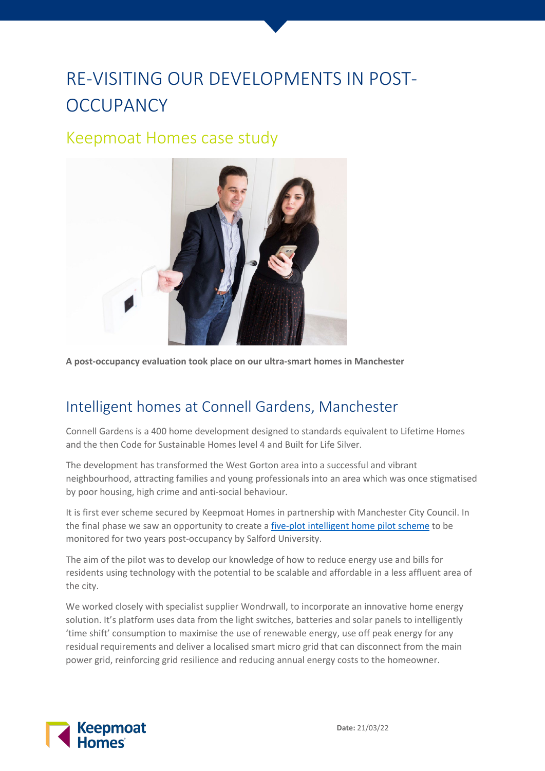## RE-VISITING OUR DEVELOPMENTS IN POST-**OCCUPANCY**

## Keepmoat Homes case study



**A post-occupancy evaluation took place on our ultra-smart homes in Manchester**

## Intelligent homes at Connell Gardens, Manchester

Connell Gardens is a 400 home development designed to standards equivalent to Lifetime Homes and the then Code for Sustainable Homes level 4 and Built for Life Silver.

The development has transformed the West Gorton area into a successful and vibrant neighbourhood, attracting families and young professionals into an area which was once stigmatised by poor housing, high crime and anti-social behaviour.

It is first ever scheme secured by Keepmoat Homes in partnership with Manchester City Council. In the final phase we saw an opportunity to create a [five-plot intelligent home pilot scheme](https://www.ukgbc.org/solutions/viridian-solar-2/) to be monitored for two years post-occupancy by Salford University.

The aim of the pilot was to develop our knowledge of how to reduce energy use and bills for residents using technology with the potential to be scalable and affordable in a less affluent area of the city.

We worked closely with specialist supplier Wondrwall, to incorporate an innovative home energy solution. It's platform uses data from the light switches, batteries and solar panels to intelligently 'time shift' consumption to maximise the use of renewable energy, use off peak energy for any residual requirements and deliver a localised smart micro grid that can disconnect from the main power grid, reinforcing grid resilience and reducing annual energy costs to the homeowner.